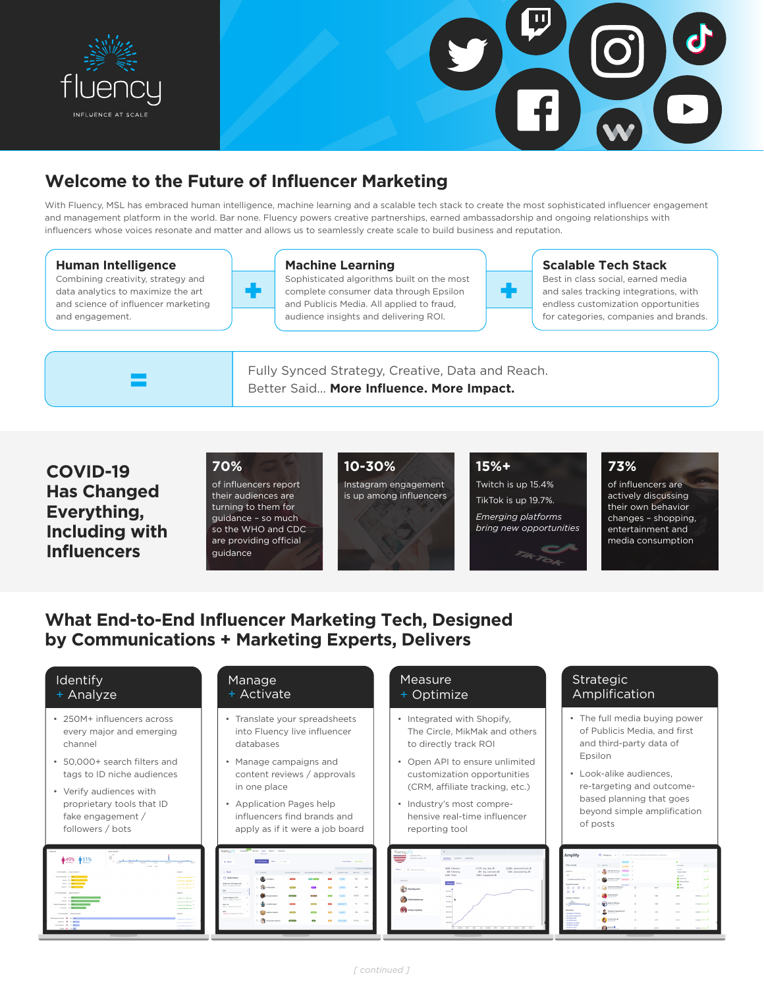



# **Welcome to the Future of Influencer Marketing**

With Fluency, MSL has embraced human intelligence, machine learning and a scalable tech stack to create the most sophisticated influencer engagement and management platform in the world. Bar none. Fluency powers creative partnerships, earned ambassadorship and ongoing relationships with influencers whose voices resonate and matter and allows us to seamlessly create scale to build business and reputation.

## **Human Intelligence**

Combining creativity, strategy and data analytics to maximize the art and science of influencer marketing and engagement.

=

### **Machine Learning**

Sophisticated algorithms built on the most sophisticated algorithms built on the most<br>
complete consumer data through Epsilon<br>
and Publicis Media. All applied to fraud, and Publicis Media. All applied to fraud, audience insights and delivering ROI.



## **Scalable Tech Stack**

Best in class social, earned media and sales tracking integrations, with endless customization opportunities for categories, companies and brands.

Fully Synced Strategy, Creative, Data and Reach. Better Said… **More Influence. More Impact.**

## **COVID-19 Has Changed Everything, Including with Influencers**

**70%**  of influencers report their audiences are turning to them for guidance – so much so the WHO and CDC are providing official guidance

**10-30%**

Instagram engagement is up among influencers

TikTok is up 19.7%.

**15%+**

*Emerging platforms bring new opportunities*

Twitch is up 15.4%

## **73%**

of influencers are actively discussing their own behavior changes – shopping, entertainment and media consumption

# **What End-to-End Influencer Marketing Tech, Designed by Communications + Marketing Experts, Delivers**

## Identify + Analyze

- 250M+ influencers across every major and emerging channel
- 50,000+ search filters and tags to ID niche audiences
- Verify audiences with proprietary tools that ID fake engagement / followers / bots



#### Manage + Activate

- Translate your spreadsheets into Fluency live influencer databases
- Manage campaigns and content reviews / approvals in one place
- Application Pages help influencers find brands and apply as if it were a job board

| $+$ Now                                                                     |         | <b>Rev.</b> O.Nd<br>. Md Emmon |                |                           |              |                           | <b>ANTONIA BRANE -</b> |
|-----------------------------------------------------------------------------|---------|--------------------------------|----------------|---------------------------|--------------|---------------------------|------------------------|
|                                                                             |         |                                |                |                           |              |                           | <b>NAMES OF GROOM</b>  |
| a Bark                                                                      |         | $O$ recent                     | MANUFACULAR    | The american interest and | <b>TOM</b>   | <b><i>STORES</i></b> 1974 | <b>BERTHER</b>         |
| [7] Sales Dema                                                              |         | O <b>CO</b> mon                | <b>County</b>  | <b>CO CORD</b>            | <b>COLOR</b> | <b>And In</b>             | $\mathbb{R}^n$         |
| Informary Mrs Reach aud<br>$\sim$<br>Bart Countie X 201                     |         | O ON MARGARET                  | <b>Chang</b>   |                           |              | Letter                    | $^{16}$                |
| <b>Adv</b><br>$\sim$<br><b>Blue L. Grand Joa 14, 81-64</b>                  |         |                                |                |                           |              |                           |                        |
| Toronto Righten 3019<br>$\sim$<br>Ron'll -Center Av.D. 2018                 | $\circ$ | <b>Broadwrighten</b>           | <b>Sigman</b>  | <b>COMPANY</b>            | <b>CON</b>   |                           | 03320                  |
| Section<br>$\sim$<br><b>Black chapter for 18 1930</b>                       | 0       | customedi                      | <b>County</b>  |                           | <b>Gent</b>  | <b>BARTRACTS</b>          | $\mathbf{r}$           |
| No.<br><b><i><u>Property</u></i></b><br><b>Expendity Conduction In 1970</b> | o.      | <b>CON</b> badana sa dutu      | <b>COLOR</b>   | <b>County</b>             |              | <b>Service</b>            | $\mathcal{R}$          |
|                                                                             | o.      | <b>Butanamotive</b>            | <b>Separat</b> | m                         |              |                           | 4610                   |

### **Measure** + Optimize

- Integrated with Shopify, The Circle, MikMak and others to directly track ROI
- Open API to ensure unlimited customization opportunities (CRM, affiliate tracking, etc.)
- Industry's most comprehensive real-time influencer reporting tool



## Strategic Amplification

- The full media buying power of Publicis Media, and first and third-party data of Epsilon
- Look-alike audiences, re-targeting and outcomebased planning that goes beyond simple amplification of posts

| Amplify                                    | <b>B</b> Integram v                                |                  | C Brand in Kenned Harling, Loudier, Medius, or Dompton |              |                                              |                   |  |  |  |
|--------------------------------------------|----------------------------------------------------|------------------|--------------------------------------------------------|--------------|----------------------------------------------|-------------------|--|--|--|
| City model                                 | O cente                                            | <b>Showwood</b>  | $\sim$                                                 |              | ۰                                            |                   |  |  |  |
|                                            |                                                    |                  | ٠                                                      |              | <b>ACCEPTED</b>                              | <b>MA</b><br>÷    |  |  |  |
| <b>Search Av</b>                           | Warran Mt Gove<br>b<br>$-22$<br><b>Engineering</b> | <b>Salting</b>   | ٠                                                      |              | <b>ALCOHOL:</b><br><b>Don at Ware 1</b>      | -                 |  |  |  |
| $\sim$                                     |                                                    |                  | $\alpha$                                               |              | <b>SATISFIED</b>                             |                   |  |  |  |
| C) Southam assume to form                  | <b>Shewan britis</b><br>$\circ$<br>=               | <b>Evenigns</b>  | . .                                                    |              | <b>B</b> University<br><b>B</b> Install Sens | -                 |  |  |  |
| <b>Readed Associate</b>                    |                                                    | <b>Fox South</b> |                                                        |              | $\mathbf{O}$ for                             |                   |  |  |  |
| @ # <b>P + A</b>                           | <b>Manufacture</b><br>o.<br><b>Entertainment</b>   |                  |                                                        | <b>ATA</b>   | <b>CLOSE</b>                                 |                   |  |  |  |
| $H$ $R$                                    |                                                    |                  |                                                        |              |                                              |                   |  |  |  |
| Industry February                          | <b>Staffs Blocke</b><br>o.<br>1000                 |                  | $\alpha$                                               | <b>THE</b>   | s sin                                        | THE RICHARD       |  |  |  |
|                                            |                                                    |                  |                                                        |              |                                              |                   |  |  |  |
| <b>MATTER</b><br>41.10<br><b>SCO</b><br>w  | <b>Sedun Wilson</b><br>o<br><b>College State</b>   |                  | ×                                                      | <b>SALE</b>  | a son.                                       | $mn -$            |  |  |  |
| More Fibers                                |                                                    |                  |                                                        |              |                                              |                   |  |  |  |
| · Independence                             | Sulfranta Nazionalizza DI<br>×<br>---              |                  | $\alpha$                                               | <b>Video</b> | A STL                                        | 10.15 -           |  |  |  |
| · Annual Experience<br>. Amings Links      |                                                    |                  |                                                        |              |                                              |                   |  |  |  |
|                                            | $\sim$                                             |                  |                                                        |              |                                              |                   |  |  |  |
| a Automatican<br>1 Automa Auto             | <b>SOUND</b><br>п                                  |                  |                                                        | ALC:         | <b>Signa</b>                                 | <b>CALLIS AND</b> |  |  |  |
| <b>Libraries' Ways</b><br>a behavior and a | <b>SASSAGE</b><br>$\alpha$                         |                  | $\alpha$                                               | <b>VIV</b>   | <b>SATE</b>                                  | 14249.000         |  |  |  |